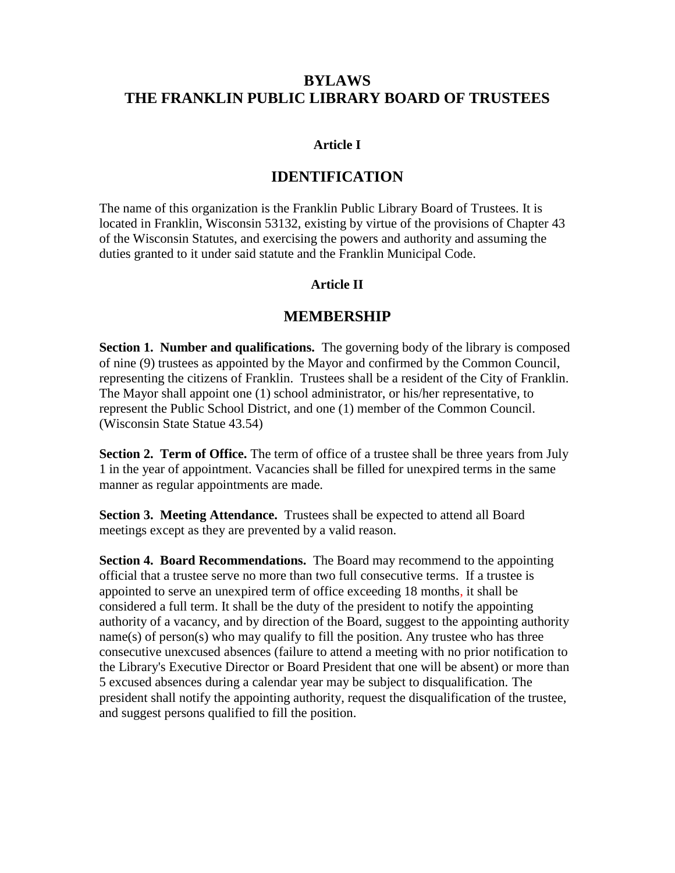## **BYLAWS THE FRANKLIN PUBLIC LIBRARY BOARD OF TRUSTEES**

#### **Article I**

### **IDENTIFICATION**

The name of this organization is the Franklin Public Library Board of Trustees. It is located in Franklin, Wisconsin 53132, existing by virtue of the provisions of Chapter 43 of the Wisconsin Statutes, and exercising the powers and authority and assuming the duties granted to it under said statute and the Franklin Municipal Code.

#### **Article II**

#### **MEMBERSHIP**

**Section 1. Number and qualifications.** The governing body of the library is composed of nine (9) trustees as appointed by the Mayor and confirmed by the Common Council, representing the citizens of Franklin. Trustees shall be a resident of the City of Franklin. The Mayor shall appoint one (1) school administrator, or his/her representative, to represent the Public School District, and one (1) member of the Common Council. (Wisconsin State Statue 43.54)

**Section 2. Term of Office.** The term of office of a trustee shall be three years from July 1 in the year of appointment. Vacancies shall be filled for unexpired terms in the same manner as regular appointments are made.

**Section 3. Meeting Attendance.** Trustees shall be expected to attend all Board meetings except as they are prevented by a valid reason.

**Section 4. Board Recommendations.** The Board may recommend to the appointing official that a trustee serve no more than two full consecutive terms. If a trustee is appointed to serve an unexpired term of office exceeding 18 months, it shall be considered a full term. It shall be the duty of the president to notify the appointing authority of a vacancy, and by direction of the Board, suggest to the appointing authority name(s) of person(s) who may qualify to fill the position. Any trustee who has three consecutive unexcused absences (failure to attend a meeting with no prior notification to the Library's Executive Director or Board President that one will be absent) or more than 5 excused absences during a calendar year may be subject to disqualification. The president shall notify the appointing authority, request the disqualification of the trustee, and suggest persons qualified to fill the position.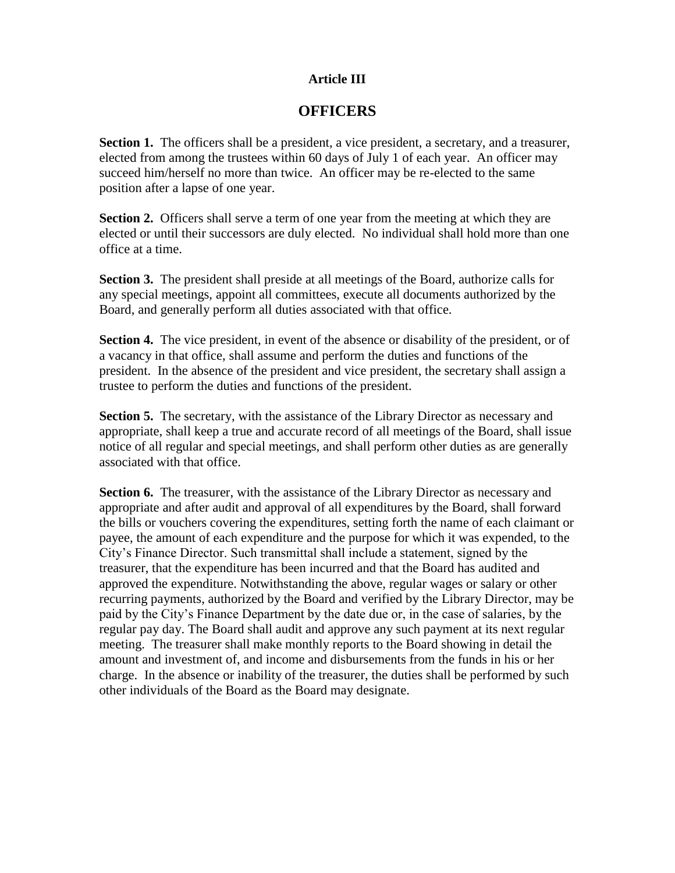#### **Article III**

### **OFFICERS**

**Section 1.** The officers shall be a president, a vice president, a secretary, and a treasurer, elected from among the trustees within 60 days of July 1 of each year. An officer may succeed him/herself no more than twice. An officer may be re-elected to the same position after a lapse of one year.

**Section 2.** Officers shall serve a term of one year from the meeting at which they are elected or until their successors are duly elected. No individual shall hold more than one office at a time.

**Section 3.** The president shall preside at all meetings of the Board, authorize calls for any special meetings, appoint all committees, execute all documents authorized by the Board, and generally perform all duties associated with that office.

**Section 4.** The vice president, in event of the absence or disability of the president, or of a vacancy in that office, shall assume and perform the duties and functions of the president. In the absence of the president and vice president, the secretary shall assign a trustee to perform the duties and functions of the president.

**Section 5.** The secretary, with the assistance of the Library Director as necessary and appropriate, shall keep a true and accurate record of all meetings of the Board, shall issue notice of all regular and special meetings, and shall perform other duties as are generally associated with that office.

**Section 6.** The treasurer, with the assistance of the Library Director as necessary and appropriate and after audit and approval of all expenditures by the Board, shall forward the bills or vouchers covering the expenditures, setting forth the name of each claimant or payee, the amount of each expenditure and the purpose for which it was expended, to the City's Finance Director. Such transmittal shall include a statement, signed by the treasurer, that the expenditure has been incurred and that the Board has audited and approved the expenditure. Notwithstanding the above, regular wages or salary or other recurring payments, authorized by the Board and verified by the Library Director, may be paid by the City's Finance Department by the date due or, in the case of salaries, by the regular pay day. The Board shall audit and approve any such payment at its next regular meeting. The treasurer shall make monthly reports to the Board showing in detail the amount and investment of, and income and disbursements from the funds in his or her charge. In the absence or inability of the treasurer, the duties shall be performed by such other individuals of the Board as the Board may designate.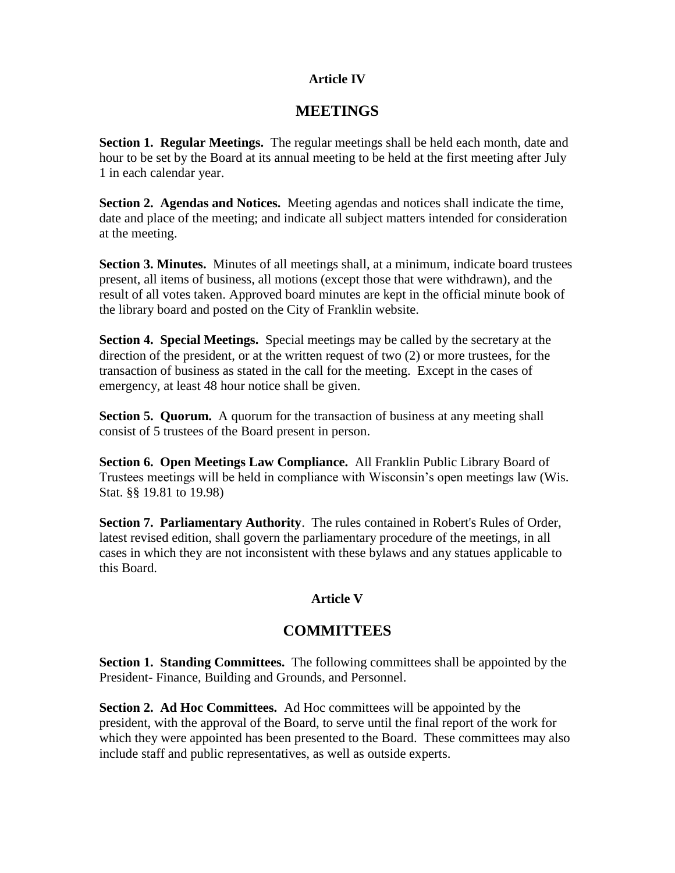#### **Article IV**

## **MEETINGS**

**Section 1. Regular Meetings.** The regular meetings shall be held each month, date and hour to be set by the Board at its annual meeting to be held at the first meeting after July 1 in each calendar year.

**Section 2. Agendas and Notices.** Meeting agendas and notices shall indicate the time, date and place of the meeting; and indicate all subject matters intended for consideration at the meeting.

**Section 3. Minutes.** Minutes of all meetings shall, at a minimum, indicate board trustees present, all items of business, all motions (except those that were withdrawn), and the result of all votes taken. Approved board minutes are kept in the official minute book of the library board and posted on the City of Franklin website.

**Section 4. Special Meetings.** Special meetings may be called by the secretary at the direction of the president, or at the written request of two (2) or more trustees, for the transaction of business as stated in the call for the meeting. Except in the cases of emergency, at least 48 hour notice shall be given.

**Section 5. Quorum.** A quorum for the transaction of business at any meeting shall consist of 5 trustees of the Board present in person.

**Section 6. Open Meetings Law Compliance.** All Franklin Public Library Board of Trustees meetings will be held in compliance with Wisconsin's open meetings law (Wis. Stat. §§ 19.81 to 19.98)

**Section 7. Parliamentary Authority**. The rules contained in Robert's Rules of Order, latest revised edition, shall govern the parliamentary procedure of the meetings, in all cases in which they are not inconsistent with these bylaws and any statues applicable to this Board.

### **Article V**

# **COMMITTEES**

**Section 1. Standing Committees.** The following committees shall be appointed by the President- Finance, Building and Grounds, and Personnel.

**Section 2. Ad Hoc Committees.** Ad Hoc committees will be appointed by the president, with the approval of the Board, to serve until the final report of the work for which they were appointed has been presented to the Board. These committees may also include staff and public representatives, as well as outside experts.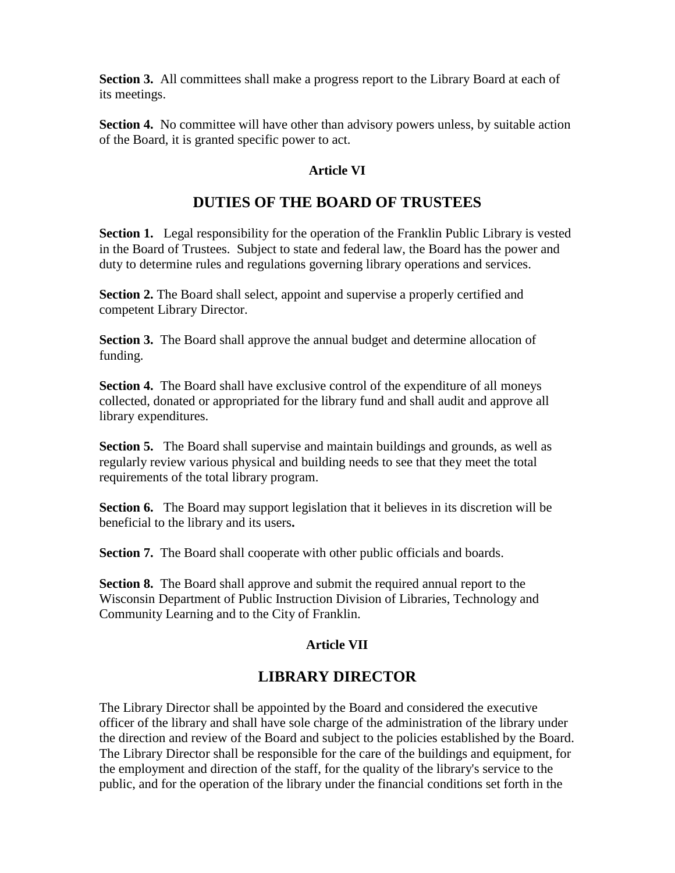**Section 3.** All committees shall make a progress report to the Library Board at each of its meetings.

**Section 4.** No committee will have other than advisory powers unless, by suitable action of the Board, it is granted specific power to act.

#### **Article VI**

# **DUTIES OF THE BOARD OF TRUSTEES**

**Section 1.** Legal responsibility for the operation of the Franklin Public Library is vested in the Board of Trustees. Subject to state and federal law, the Board has the power and duty to determine rules and regulations governing library operations and services.

**Section 2.** The Board shall select, appoint and supervise a properly certified and competent Library Director.

**Section 3.** The Board shall approve the annual budget and determine allocation of funding.

**Section 4.** The Board shall have exclusive control of the expenditure of all moneys collected, donated or appropriated for the library fund and shall audit and approve all library expenditures.

**Section 5.** The Board shall supervise and maintain buildings and grounds, as well as regularly review various physical and building needs to see that they meet the total requirements of the total library program.

**Section 6.** The Board may support legislation that it believes in its discretion will be beneficial to the library and its users**.**

**Section 7.** The Board shall cooperate with other public officials and boards.

**Section 8.** The Board shall approve and submit the required annual report to the Wisconsin Department of Public Instruction Division of Libraries, Technology and Community Learning and to the City of Franklin.

### **Article VII**

# **LIBRARY DIRECTOR**

The Library Director shall be appointed by the Board and considered the executive officer of the library and shall have sole charge of the administration of the library under the direction and review of the Board and subject to the policies established by the Board. The Library Director shall be responsible for the care of the buildings and equipment, for the employment and direction of the staff, for the quality of the library's service to the public, and for the operation of the library under the financial conditions set forth in the